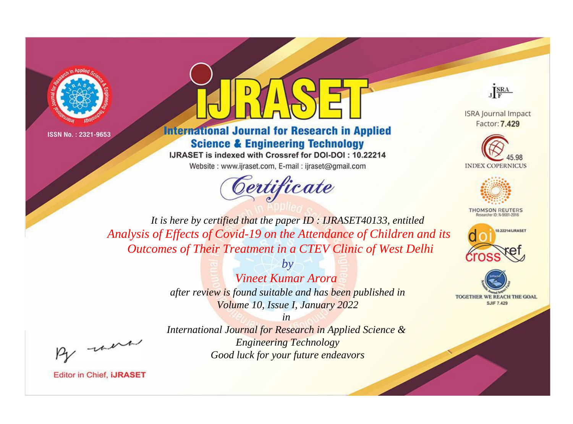

ISSN No.: 2321-9653



**International Journal for Research in Applied Science & Engineering Technology** 

IJRASET is indexed with Crossref for DOI-DOI: 10.22214

Website: www.ijraset.com, E-mail: ijraset@gmail.com





**ISRA Journal Impact** Factor: 7.429





**THOMSON REUTERS** 



TOGETHER WE REACH THE GOAL **SJIF 7.429** 

*It is here by certified that the paper ID : IJRASET40133, entitled Analysis of Effects of Covid-19 on the Attendance of Children and its Outcomes of Their Treatment in a CTEV Clinic of West Delhi*

> *by Vineet Kumar Arora after review is found suitable and has been published in Volume 10, Issue I, January 2022*

, un

*International Journal for Research in Applied Science & Engineering Technology Good luck for your future endeavors*

*in* 

**Editor in Chief, IJRASET**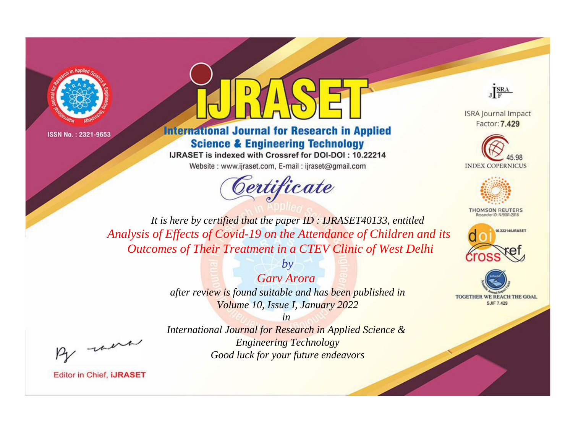

ISSN No.: 2321-9653



## **International Journal for Research in Applied Science & Engineering Technology**

IJRASET is indexed with Crossref for DOI-DOI: 10.22214

Website: www.ijraset.com, E-mail: ijraset@gmail.com





**ISRA Journal Impact** Factor: 7.429





**THOMSON REUTERS** 



TOGETHER WE REACH THE GOAL **SJIF 7.429** 

*It is here by certified that the paper ID : IJRASET40133, entitled Analysis of Effects of Covid-19 on the Attendance of Children and its Outcomes of Their Treatment in a CTEV Clinic of West Delhi*

> *Garv Arora after review is found suitable and has been published in Volume 10, Issue I, January 2022*

*by*

, un

*International Journal for Research in Applied Science & Engineering Technology Good luck for your future endeavors*

*in* 

**Editor in Chief, IJRASET**